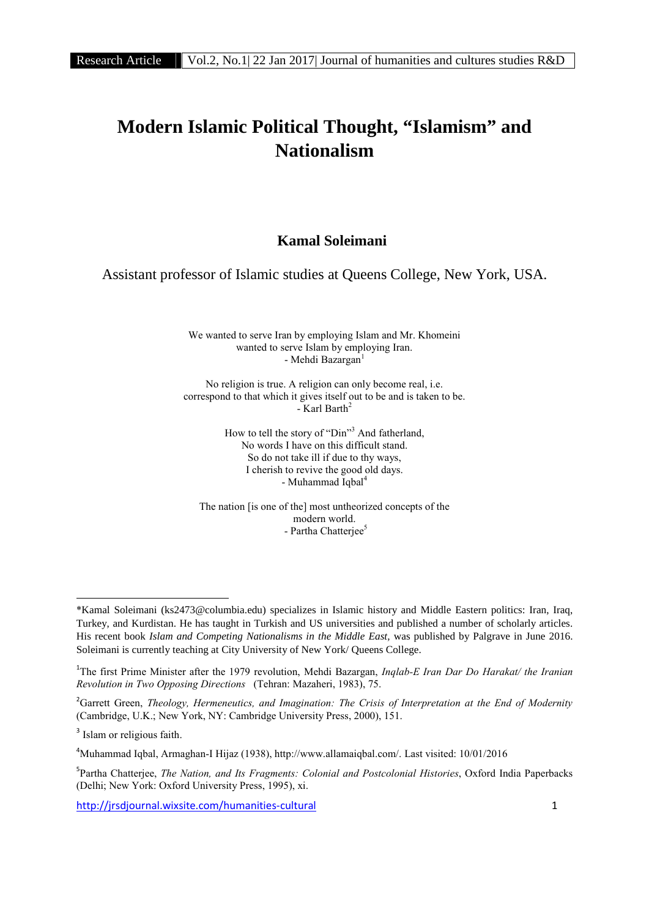# **Modern Islamic Political Thought, "Islamism" and Nationalism**

## **Kamal Soleimani**

Assistant professor of Islamic studies at Queens College, New York, USA.

We wanted to serve Iran by employing Islam and Mr. Khomeini wanted to serve Islam by employing Iran. - Mehdi Bazargan<sup>1</sup>

No religion is true. A religion can only become real, i.e. correspond to that which it gives itself out to be and is taken to be. - Karl Barth<sup>2</sup>

> How to tell the story of "Din"<sup>3</sup> And fatherland, No words I have on this difficult stand. So do not take ill if due to thy ways, I cherish to revive the good old days. - Muhammad Iqbal<sup>4</sup>

The nation [is one of the] most untheorized concepts of the modern world. - Partha Chatterjee<sup>5</sup>

<sup>\*</sup>Kamal Soleimani (ks2473@columbia.edu) specializes in Islamic history and Middle Eastern politics: Iran, Iraq, Turkey, and Kurdistan. He has taught in Turkish and US universities and published a number of scholarly articles. His recent book *Islam and Competing Nationalisms in the Middle East,* was published by Palgrave in June 2016. Soleimani is currently teaching at City University of New York/ Queens College.

<sup>1</sup>The first Prime Minister after the 1979 revolution, Mehdi Bazargan, *Inqlab-E Iran Dar Do Harakat/ the Iranian Revolution in Two Opposing Directions* (Tehran: Mazaheri, 1983), 75.

<sup>2</sup>Garrett Green, *Theology, Hermeneutics, and Imagination: The Crisis of Interpretation at the End of Modernity* (Cambridge, U.K.; New York, NY: Cambridge University Press, 2000), 151.

<sup>&</sup>lt;sup>3</sup> Islam or religious faith.

<sup>4</sup>Muhammad Iqbal, Armaghan-I Hijaz (1938), http://www.allamaiqbal.com/. Last visited: 10/01/2016

<sup>5</sup>Partha Chatterjee, *The Nation, and Its Fragments: Colonial and Postcolonial Histories*, Oxford India Paperbacks (Delhi; New York: Oxford University Press, 1995), xi.

http://jrsdjournal.wixsite.com/humanities-cultural 1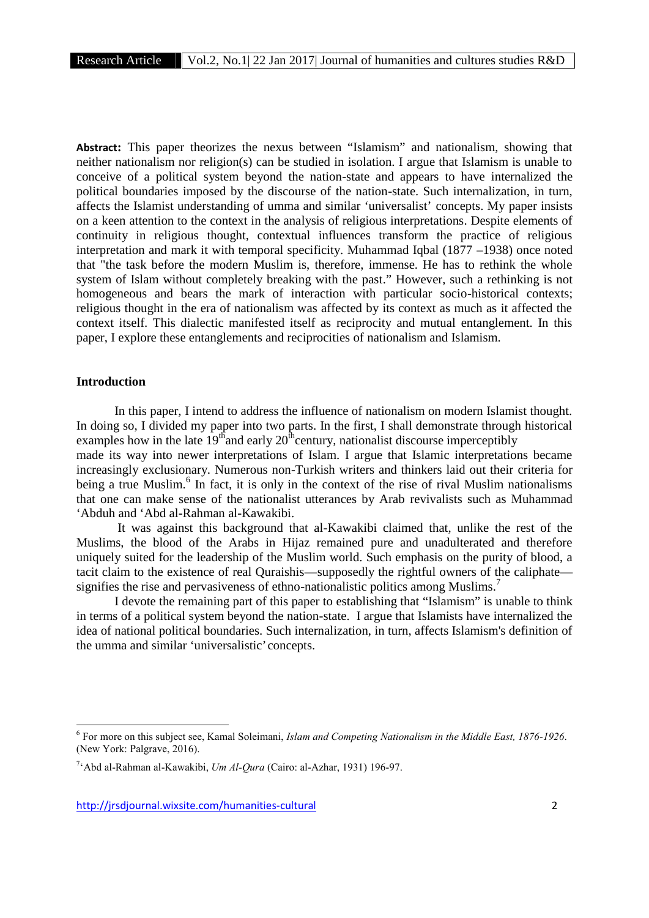**Abstract:** This paper theorizes the nexus between "Islamism" and nationalism, showing that neither nationalism nor religion(s) can be studied in isolation. I argue that Islamism is unable to conceive of a political system beyond the nation-state and appears to have internalized the political boundaries imposed by the discourse of the nation-state. Such internalization, in turn, affects the Islamist understanding of umma and similar 'universalist' concepts. My paper insists on a keen attention to the context in the analysis of religious interpretations. Despite elements of continuity in religious thought, contextual influences transform the practice of religious interpretation and mark it with temporal specificity. Muhammad Iqbal (1877 –1938) once noted that "the task before the modern Muslim is, therefore, immense. He has to rethink the whole system of Islam without completely breaking with the past." However, such a rethinking is not homogeneous and bears the mark of interaction with particular socio-historical contexts; religious thought in the era of nationalism was affected by its context as much as it affected the context itself. This dialectic manifested itself as reciprocity and mutual entanglement. In this paper, I explore these entanglements and reciprocities of nationalism and Islamism.

#### **Introduction**

In this paper, I intend to address the influence of nationalism on modern Islamist thought. In doing so, I divided my paper into two parts. In the first, I shall demonstrate through historical examples how in the late  $19<sup>th</sup>$  and early  $20<sup>th</sup>$  century, nationalist discourse imperceptibly made its way into newer interpretations of Islam. I argue that Islamic interpretations became increasingly exclusionary. Numerous non-Turkish writers and thinkers laid out their criteria for being a true Muslim.<sup>6</sup> In fact, it is only in the context of the rise of rival Muslim nationalisms that one can make sense of the nationalist utterances by Arab revivalists such as Muhammad 'Abduh and 'Abd al-Rahman al-Kawakibi.

It was against this background that al-Kawakibi claimed that, unlike the rest of the Muslims, the blood of the Arabs in Hijaz remained pure and unadulterated and therefore uniquely suited for the leadership of the Muslim world. Such emphasis on the purity of blood, a tacit claim to the existence of real Quraishis—supposedly the rightful owners of the caliphate signifies the rise and pervasiveness of ethno-nationalistic politics among Muslims.<sup>7</sup>

I devote the remaining part of this paper to establishing that "Islamism" is unable to think in terms of a political system beyond the nation-state. I argue that Islamists have internalized the idea of national political boundaries. Such internalization, in turn, affects Islamism's definition of the umma and similar 'universalistic' concepts.

<sup>6</sup> For more on this subject see, Kamal Soleimani, *Islam and Competing Nationalism in the Middle East, 1876-1926*. (New York: Palgrave, 2016).

<sup>7</sup>'Abd al-Rahman al-Kawakibi, *Um Al-Qura* (Cairo: al-Azhar, 1931) 196-97.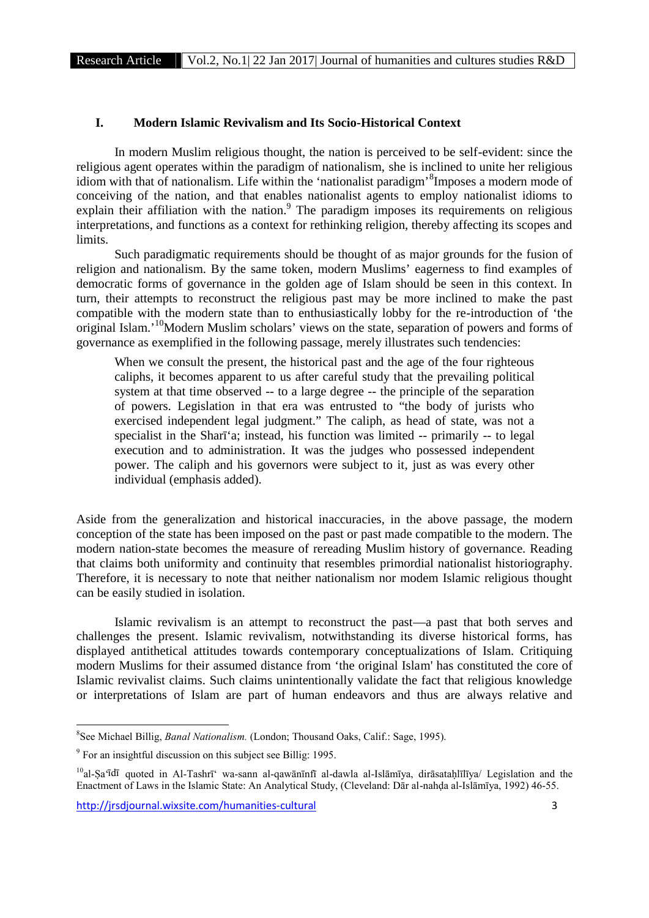### **I. Modern Islamic Revivalism and Its Socio-Historical Context**

In modern Muslim religious thought, the nation is perceived to be self-evident: since the religious agent operates within the paradigm of nationalism, she is inclined to unite her religious idiom with that of nationalism. Life within the 'nationalist paradigm'<sup>8</sup>Imposes a modern mode of conceiving of the nation, and that enables nationalist agents to employ nationalist idioms to explain their affiliation with the nation.<sup>9</sup> The paradigm imposes its requirements on religious interpretations, and functions as a context for rethinking religion, thereby affecting its scopes and limits.

Such paradigmatic requirements should be thought of as major grounds for the fusion of religion and nationalism. By the same token, modern Muslims' eagerness to find examples of democratic forms of governance in the golden age of Islam should be seen in this context. In turn, their attempts to reconstruct the religious past may be more inclined to make the past compatible with the modern state than to enthusiastically lobby for the re-introduction of 'the original Islam.'<sup>10</sup>Modern Muslim scholars' views on the state, separation of powers and forms of governance as exemplified in the following passage, merely illustrates such tendencies:

When we consult the present, the historical past and the age of the four righteous caliphs, it becomes apparent to us after careful study that the prevailing political system at that time observed -- to a large degree -- the principle of the separation of powers. Legislation in that era was entrusted to "the body of jurists who exercised independent legal judgment." The caliph, as head of state, was not a specialist in the Shar 'a; instead, his function was limited -- primarily -- to legal execution and to administration. It was the judges who possessed independent power. The caliph and his governors were subject to it, just as was every other individual (emphasis added).

Aside from the generalization and historical inaccuracies, in the above passage, the modern conception of the state has been imposed on the past or past made compatible to the modern. The modern nation-state becomes the measure of rereading Muslim history of governance. Reading that claims both uniformity and continuity that resembles primordial nationalist historiography. Therefore, it is necessary to note that neither nationalism nor modem Islamic religious thought can be easily studied in isolation.

Islamic revivalism is an attempt to reconstruct the past—a past that both serves and challenges the present. Islamic revivalism, notwithstanding its diverse historical forms, has displayed antithetical attitudes towards contemporary conceptualizations of Islam. Critiquing modern Muslims for their assumed distance from 'the original Islam' has constituted the core of Islamic revivalist claims. Such claims unintentionally validate the fact that religious knowledge or interpretations of Islam are part of human endeavors and thus are always relative and

http://jrsdjournal.wixsite.com/humanities-cultural 3

<sup>8</sup>See Michael Billig, *Banal Nationalism.* (London; Thousand Oaks, Calif.: Sage, 1995).

<sup>9</sup> For an insightful discussion on this subject see Billig: 1995.

 $^{10}$ al-Sa'īdī quoted in Al-Tashrī' wa-sann al-qawānīnfī al-dawla al-Islāmīya, dirāsatahlīlīya/ Legislation and the Enactment of Laws in the Islamic State: An Analytical Study, (Cleveland: Dār al-nahḍa al-Islāmīya, 1992) 46-55.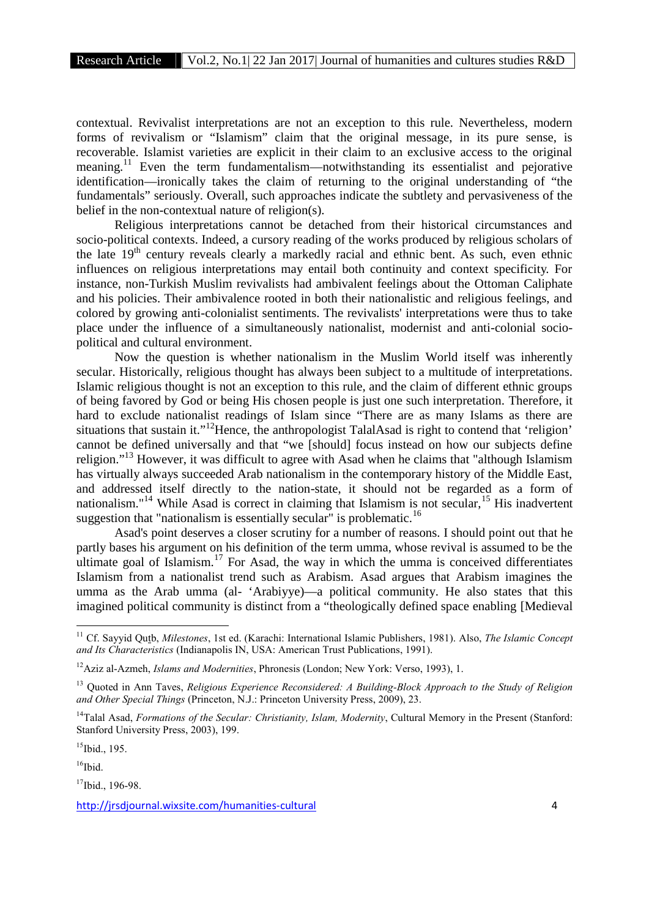contextual. Revivalist interpretations are not an exception to this rule. Nevertheless, modern forms of revivalism or "Islamism" claim that the original message, in its pure sense, is recoverable. Islamist varieties are explicit in their claim to an exclusive access to the original meaning.<sup>11</sup> Even the term fundamentalism—notwithstanding its essentialist and pejorative identification—ironically takes the claim of returning to the original understanding of "the fundamentals" seriously. Overall, such approaches indicate the subtlety and pervasiveness of the belief in the non-contextual nature of religion(s).

Religious interpretations cannot be detached from their historical circumstances and socio-political contexts. Indeed, a cursory reading of the works produced by religious scholars of the late 19<sup>th</sup> century reveals clearly a markedly racial and ethnic bent. As such, even ethnic influences on religious interpretations may entail both continuity and context specificity. For instance, non-Turkish Muslim revivalists had ambivalent feelings about the Ottoman Caliphate and his policies. Their ambivalence rooted in both their nationalistic and religious feelings, and colored by growing anti-colonialist sentiments. The revivalists' interpretations were thus to take place under the influence of a simultaneously nationalist, modernist and anti-colonial socio political and cultural environment.

Now the question is whether nationalism in the Muslim World itself was inherently secular. Historically, religious thought has always been subject to a multitude of interpretations. Islamic religious thought is not an exception to this rule, and the claim of different ethnic groups of being favored by God or being His chosen people is just one such interpretation. Therefore, it hard to exclude nationalist readings of Islam since "There are as many Islams as there are situations that sustain it."<sup>12</sup>Hence, the anthropologist TalalAsad is right to contend that 'religion' cannot be defined universally and that "we [should] focus instead on how our subjects define religion."<sup>13</sup> However, it was difficult to agree with Asad when he claims that "although Islamism" has virtually always succeeded Arab nationalism in the contemporary history of the Middle East, and addressed itself directly to the nation-state, it should not be regarded as a form of nationalism."<sup>14</sup> While Asad is correct in claiming that Islamism is not secular, <sup>15</sup> His inadvertent suggestion that "nationalism is essentially secular" is problematic.<sup>16</sup>

Asad's point deserves a closer scrutiny for a number of reasons. I should point out that he partly bases his argument on his definition of the term umma, whose revival is assumed to be the ultimate goal of Islamism.<sup>17</sup> For Asad, the way in which the umma is conceived differentiates Islamism from a nationalist trend such as Arabism. Asad argues that Arabism imagines the umma as the Arab umma (al- 'Arabiyye)—a political community. He also states that this imagined political community is distinct from a "theologically defined space enabling [Medieval

 $15$ Ibid., 195.

 $16$ Ibid.

<sup>11</sup> Cf. Sayyid Qutb, *Milestones*, 1st ed. (Karachi: International Islamic Publishers, 1981). Also, *The Islamic Concept and Its Characteristics* (Indianapolis IN, USA: American Trust Publications, 1991).

<sup>12</sup>Aziz al-Azmeh, *Islams and Modernities*, Phronesis (London; New York: Verso, 1993), 1.

<sup>13</sup> Quoted in Ann Taves, *Religious Experience Reconsidered: A Building-Block Approach to the Study of Religion and Other Special Things* (Princeton, N.J.: Princeton University Press, 2009), 23.

<sup>&</sup>lt;sup>14</sup>Talal Asad, *Formations of the Secular: Christianity, Islam, Modernity*, Cultural Memory in the Present (Stanford: Stanford University Press, 2003), 199.

<sup>&</sup>lt;sup>17</sup>Ibid., 196-98.

http://jrsdjournal.wixsite.com/humanities-cultural 4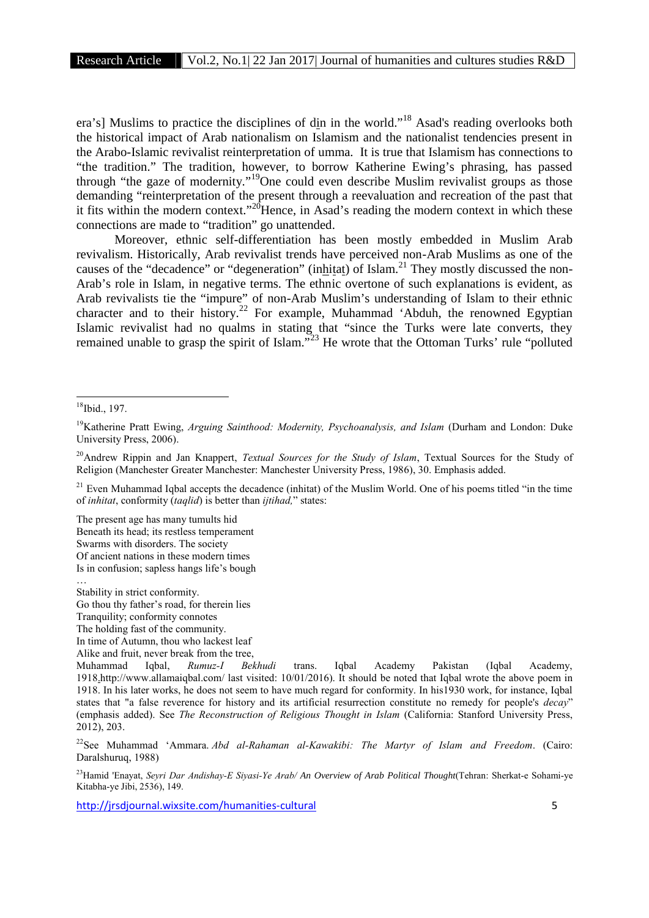era's] Muslims to practice the disciplines of din in the world."<sup>18</sup> Asad's reading overlooks both the historical impact of Arab nationalism on Islamism and the nationalist tendencies present in the Arabo-Islamic revivalist reinterpretation of umma. It is true that Islamism has connections to "the tradition." The tradition, however, to borrow Katherine Ewing's phrasing, has passed through "the gaze of modernity."<sup>19</sup>One could even describe Muslim revivalist groups as those demanding "reinterpretation of the present through a reevaluation and recreation of the past that it fits within the modern context."<sup>20</sup>Hence, in Asad's reading the modern context in which these connections are made to "tradition" go unattended.

Moreover, ethnic self-differentiation has been mostly embedded in Muslim Arab revivalism. Historically, Arab revivalist trends have perceived non-Arab Muslims as one of the causes of the "decadence" or "degeneration" (inhitat) of Islam.<sup>21</sup> They mostly discussed the non-Arab's role in Islam, in negative terms. The ethnic overtone of such explanations is evident, as Arab revivalists tie the "impure" of non-Arab Muslim's understanding of Islam to their ethnic character and to their history.<sup>22</sup> For example, Muhammad 'Abduh, the renowned Egyptian Islamic revivalist had no qualms in stating that "since the Turks were late converts, they remained unable to grasp the spirit of Islam.<sup>523</sup> He wrote that the Ottoman Turks' rule "polluted"

 $21$  Even Muhammad Iqbal accepts the decadence (inhitat) of the Muslim World. One of his poems titled "in the time of *inhitat*, conformity (*taqlid*) is better than *ijtihad,*" states:

The present age has many tumults hid Beneath its head; its restless temperament Swarms with disorders. The society Of ancient nations in these modern times Is in confusion; sapless hangs life's bough

… Stability in strict conformity. Go thou thy father's road, for therein lies Tranquility; conformity connotes The holding fast of the community.

In time of Autumn, thou who lackest leaf

<sup>22</sup>See Muhammad 'Ammara. *Abd al-Rahaman al-Kawakibi: The Martyr of Islam and Freedom*. (Cairo: Daralshuruq, 1988)

<sup>23</sup>Hamid 'Enayat, *Seyri Dar Andishay-E Siyasi-Ye Arab/ An Overview of Arab Political Thought*(Tehran: Sherkat-e Sohami-ye Kitabha-ye Jibi, 2536), 149.

http://jrsdjournal.wixsite.com/humanities-cultural 5

<sup>18</sup>Ibid., 197.

<sup>&</sup>lt;sup>19</sup>Katherine Pratt Ewing, *Arguing Sainthood: Modernity, Psychoanalysis, and Islam* (Durham and London: Duke University Press, 2006).

<sup>20</sup>Andrew Rippin and Jan Knappert, *Textual Sources for the Study of Islam*, Textual Sources for the Study of Religion (Manchester Greater Manchester: Manchester University Press, 1986), 30. Emphasis added.

Alike and fruit, never break from the tree,

Muhammad Iqbal, *Rumuz-I Bekhudi* trans. Iqbal Academy Pakistan (Iqbal Academy, 1918.http://www.allamaiqbal.com/ last visited: 10/01/2016). It should be noted that Iqbal wrote the above poem in 1918. In his later works, he does not seem to have much regard for conformity. In his1930 work, for instance, Iqbal states that "a false reverence for history and its artificial resurrection constitute no remedy for people's *decay*" (emphasis added). See *The Reconstruction of Religious Thought in Islam* (California: Stanford University Press, 2012), 203.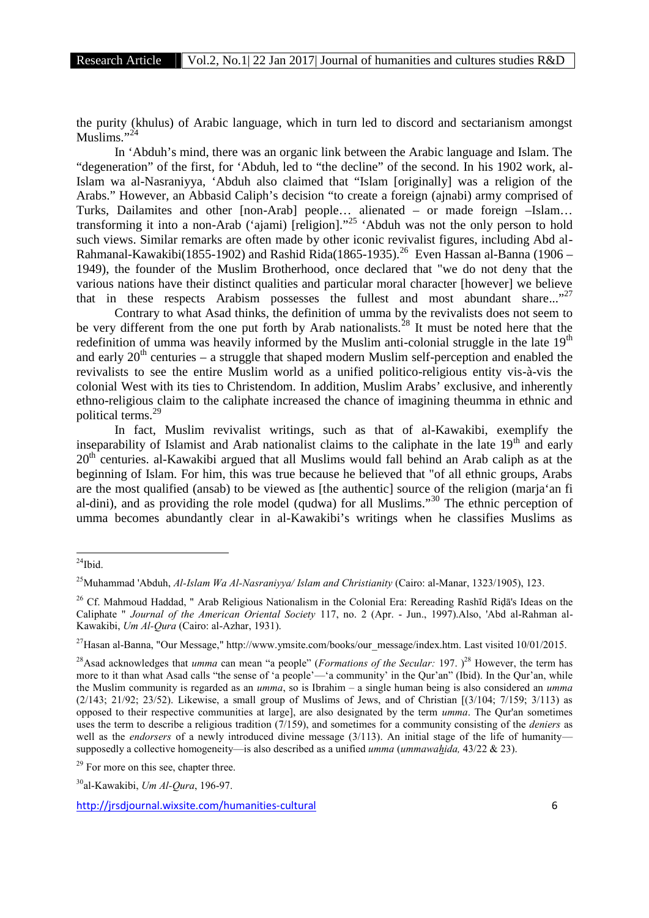the purity (khulus) of Arabic language, which in turn led to discord and sectarianism amongst Muslims." $^{24}$ 

In 'Abduh's mind, there was an organic link between the Arabic language and Islam. The "degeneration" of the first, for 'Abduh, led to "the decline" of the second. In his 1902 work, al-Islam wa al-Nasraniyya, 'Abduh also claimed that "Islam [originally] was a religion of the Arabs." However, an Abbasid Caliph's decision "to create a foreign (ajnabi) army comprised of Turks, Dailamites and other [non-Arab] people… alienated – or made foreign –Islam… transforming it into a non-Arab ('ajami) [religion]."<sup>25</sup> 'Abduh was not the only person to hold such views. Similar remarks are often made by other iconic revivalist figures, including Abd al- Rahmanal-Kawakibi(1855-1902) and Rashid Rida(1865-1935).<sup>26</sup> Even Hassan al-Banna (1906 – 1949), the founder of the Muslim Brotherhood, once declared that "we do not deny that the various nations have their distinct qualities and particular moral character [however] we believe that in these respects Arabism possesses the fullest and most abundant share..."<sup>27</sup>

Contrary to what Asad thinks, the definition of umma by the revivalists does not seem to be very different from the one put forth by Arab nationalists.<sup>28</sup> It must be noted here that the redefinition of umma was heavily informed by the Muslim anti-colonial struggle in the late  $19<sup>th</sup>$ and early  $20<sup>th</sup>$  centuries – a struggle that shaped modern Muslim self-perception and enabled the revivalists to see the entire Muslim world as a unified politico-religious entity vis-à-vis the colonial West with its ties to Christendom. In addition, Muslim Arabs' exclusive, and inherently ethno-religious claim to the caliphate increased the chance of imagining theumma in ethnic and political terms.<sup>29</sup>

In fact, Muslim revivalist writings, such as that of al-Kawakibi, exemplify the inseparability of Islamist and Arab nationalist claims to the caliphate in the late  $19<sup>th</sup>$  and early  $20<sup>th</sup>$  centuries. al-Kawakibi argued that all Muslims would fall behind an Arab caliph as at the beginning of Islam. For him, this was true because he believed that "of all ethnic groups, Arabs are the most qualified (ansab) to be viewed as [the authentic] source of the religion (marja'an fi al-dini), and as providing the role model (qudwa) for all Muslims."<sup>30</sup> The ethnic perception of umma becomes abundantly clear in al-Kawakibi's writings when he classifies Muslims as

 $24$ Ibid.

<sup>25</sup>Muhammad 'Abduh, *Al-Islam Wa Al-Nasraniyya/ Islam and Christianity* (Cairo: al-Manar, 1323/1905), 123.

<sup>&</sup>lt;sup>26</sup> Cf. Mahmoud Haddad, " Arab Religious Nationalism in the Colonial Era: Rereading Rashīd Riḍā's Ideas on the Caliphate " *Journal of the American Oriental Society* 117, no. 2 (Apr. - Jun., 1997).Also, 'Abd al-Rahman al- Kawakibi, *Um Al-Qura* (Cairo: al-Azhar, 1931).

<sup>&</sup>lt;sup>27</sup>Hasan al-Banna, "Our Message," http://www.ymsite.com/books/our\_message/index.htm. Last visited 10/01/2015.

<sup>28</sup>Asad acknowledges that *umma* can mean "a people" (*Formations of the Secular:* 197. ) <sup>28</sup> However, the term has more to it than what Asad calls "the sense of 'a people'—'a community' in the Qur'an" (Ibid). In the Qur'an, while the Muslim community is regarded as an *umma*, so is Ibrahim – a single human being is also considered an *umma* (2/143; 21/92; 23/52). Likewise, a small group of Muslims of Jews, and of Christian [(3/104; 7/159; 3/113) as opposed to their respective communities at large], are also designated by the term *umma*. The Qur'an sometimes uses the term to describe a religious tradition (7/159), and sometimes for a community consisting of the *deniers* as well as the *endorsers* of a newly introduced divine message (3/113). An initial stage of the life of humanity supposedly a collective homogeneity—is also described as a unified *umma* (*ummawahida,* 43/22 & 23).

 $29$  For more on this see, chapter three.

<sup>30</sup>al-Kawakibi, *Um Al-Qura*, 196-97.

http://jrsdjournal.wixsite.com/humanities-cultural 6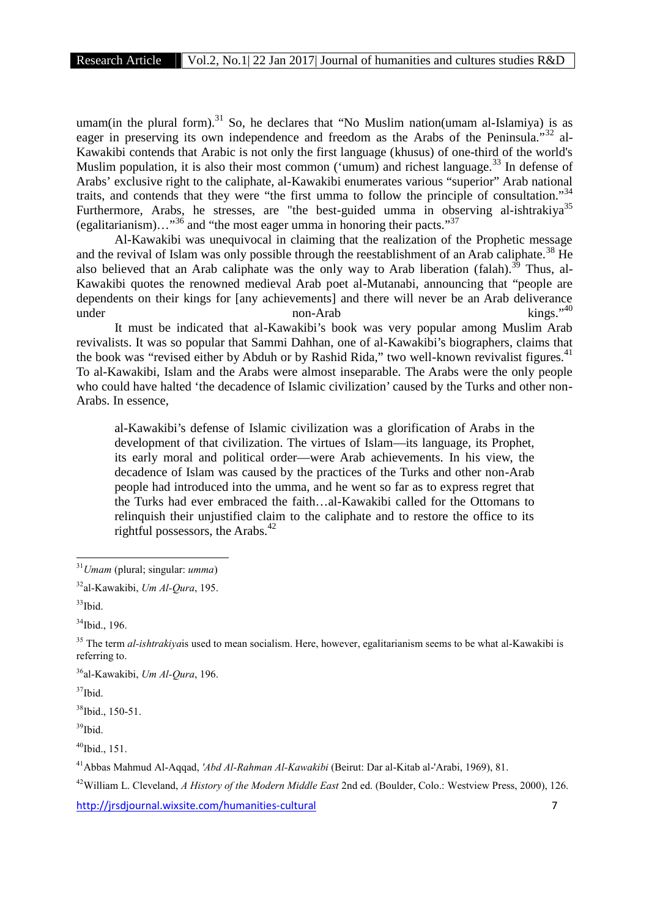umam(in the plural form).<sup>31</sup> So, he declares that "No Muslim nation(umam al-Islamiya) is as eager in preserving its own independence and freedom as the Arabs of the Peninsula."<sup>32</sup> al-Kawakibi contends that Arabic is not only the first language (khusus) of one-third of the world's Muslim population, it is also their most common ('umum) and richest language.<sup>33</sup> In defense of Arabs' exclusive right to the caliphate, al-Kawakibi enumerates various "superior" Arab national traits, and contends that they were "the first umma to follow the principle of consultation."<sup>34</sup> Furthermore, Arabs, he stresses, are "the best-guided umma in observing al-ishtrakiya<sup>35</sup> (egalitarianism)..."<sup>36</sup> and "the most eager umma in honoring their pacts."<sup>37</sup>

Al-Kawakibi was unequivocal in claiming that the realization of the Prophetic message and the revival of Islam was only possible through the reestablishment of an Arab caliphate.<sup>38</sup> He also believed that an Arab caliphate was the only way to Arab liberation (falah).<sup>39</sup> Thus, al-Kawakibi quotes the renowned medieval Arab poet al-Mutanabi, announcing that "people are dependents on their kings for [any achievements] and there will never be an Arab deliverance<br>non-Arab kings."<sup>40</sup> under non-Arab kings."<sup>40</sup> It must be indicated that al-Kawakibi's book was very popular among Muslim Arab

revivalists. It was so popular that Sammi Dahhan, one of al-Kawakibi's biographers, claims that the book was "revised either by Abduh or by Rashid Rida," two well-known revivalist figures.<sup>41</sup> To al-Kawakibi, Islam and the Arabs were almost inseparable. The Arabs were the only people who could have halted 'the decadence of Islamic civilization' caused by the Turks and other non- Arabs. In essence,

al-Kawakibi's defense of Islamic civilization was a glorification of Arabs in the development of that civilization. The virtues of Islam—its language, its Prophet, its early moral and political order—were Arab achievements. In his view, the decadence of Islam was caused by the practices of the Turks and other non-Arab people had introduced into the umma, and he went so far as to express regret that the Turks had ever embraced the faith…al-Kawakibi called for the Ottomans to relinquish their unjustified claim to the caliphate and to restore the office to its rightful possessors, the Arabs.<sup>42</sup>

 $33$ Ibid.

<sup>34</sup>Ibid., 196.

<sup>36</sup>al-Kawakibi, *Um Al-Qura*, 196.

 $37$ Ibid.

 $38$ Ibid., 150-51.

<sup>39</sup>Ibid.

 $40$ Ibid., 151.

<sup>41</sup>Abbas Mahmud Al-Aqqad, *'Abd Al-Rahman Al-Kawakibi* (Beirut: Dar al-Kitab al-'Arabi, 1969), 81.

http://jrsdjournal.wixsite.com/humanities-cultural 7 <sup>42</sup>William L. Cleveland, *A History of the Modern Middle East* 2nd ed. (Boulder, Colo.: Westview Press, 2000), 126.

<sup>31</sup>*Umam* (plural; singular: *umma*)

<sup>32</sup>al-Kawakibi, *Um Al-Qura*, 195.

<sup>&</sup>lt;sup>35</sup> The term *al-ishtrakiyais* used to mean socialism. Here, however, egalitarianism seems to be what al-Kawakibi is referring to.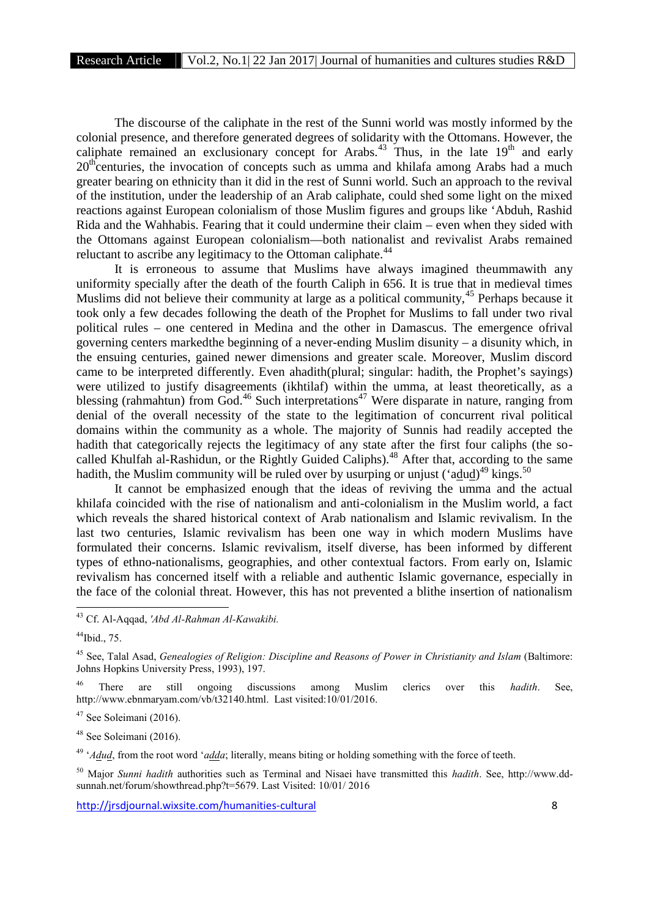The discourse of the caliphate in the rest of the Sunni world was mostly informed by the colonial presence, and therefore generated degrees of solidarity with the Ottomans. However, the caliphate remained an exclusionary concept for Arabs.<sup>43</sup> Thus, in the late  $19<sup>th</sup>$  and early  $20<sup>th</sup>$ centuries, the invocation of concepts such as umma and khilafa among Arabs had a much greater bearing on ethnicity than it did in the rest of Sunni world. Such an approach to the revival of the institution, under the leadership of an Arab caliphate, could shed some light on the mixed reactions against European colonialism of those Muslim figures and groups like 'Abduh, Rashid Rida and the Wahhabis. Fearing that it could undermine their claim – even when they sided with the Ottomans against European colonialism—both nationalist and revivalist Arabs remained reluctant to ascribe any legitimacy to the Ottoman caliphate.<sup>44</sup>

It is erroneous to assume that Muslims have always imagined theummawith any uniformity specially after the death of the fourth Caliph in 656. It is true that in medieval times Muslims did not believe their community at large as a political community,<sup>45</sup> Perhaps because it took only a few decades following the death of the Prophet for Muslims to fall under two rival political rules – one centered in Medina and the other in Damascus. The emergence ofrival governing centers markedthe beginning of a never-ending Muslim disunity – a disunity which, in the ensuing centuries, gained newer dimensions and greater scale. Moreover, Muslim discord came to be interpreted differently. Even ahadith(plural; singular: hadith, the Prophet's sayings) were utilized to justify disagreements (ikhtilaf) within the umma, at least theoretically, as a blessing (rahmahtun) from God.<sup>46</sup> Such interpretations<sup>47</sup> Were disparate in nature, ranging from denial of the overall necessity of the state to the legitimation of concurrent rival political domains within the community as a whole. The majority of Sunnis had readily accepted the hadith that categorically rejects the legitimacy of any state after the first four caliphs (the so called Khulfah al-Rashidun, or the Rightly Guided Caliphs).<sup>48</sup> After that, according to the same hadith, the Muslim community will be ruled over by usurping or unjust ('adud)<sup>49</sup> kings.<sup>50</sup>

It cannot be emphasized enough that the ideas of reviving the umma and the actual khilafa coincided with the rise of nationalism and anti-colonialism in the Muslim world, a fact which reveals the shared historical context of Arab nationalism and Islamic revivalism. In the last two centuries, Islamic revivalism has been one way in which modern Muslims have formulated their concerns. Islamic revivalism, itself diverse, has been informed by different types of ethno-nationalisms, geographies, and other contextual factors. From early on, Islamic revivalism has concerned itself with a reliable and authentic Islamic governance, especially in the face of the colonial threat. However, this has not prevented a blithe insertion of nationalism

<sup>48</sup> See Soleimani (2016).

<sup>43</sup> Cf. Al-Aqqad, *'Abd Al-Rahman Al-Kawakibi.*

 $44$ Ibid., 75.

<sup>45</sup> See, Talal Asad, *Genealogies of Religion: Discipline and Reasons of Power in Christianity and Islam* (Baltimore: Johns Hopkins University Press, 1993), 197.

<sup>46</sup> There are still ongoing discussions among Muslim clerics over this *hadith*. See, http://www.ebnmaryam.com/vb/t32140.html. Last visited:10/01/2016.

<sup>47</sup> See Soleimani (2016).

<sup>&</sup>lt;sup>49</sup> '*Adud*, from the root word '*adda*; literally, means biting or holding something with the force of teeth.

<sup>50</sup> Major *Sunni hadith* authorities such as Terminal and Nisaei have transmitted this *hadith*. See, http://www.dd sunnah.net/forum/showthread.php?t=5679. Last Visited: 10/01/ 2016

http://jrsdjournal.wixsite.com/humanities-cultural 8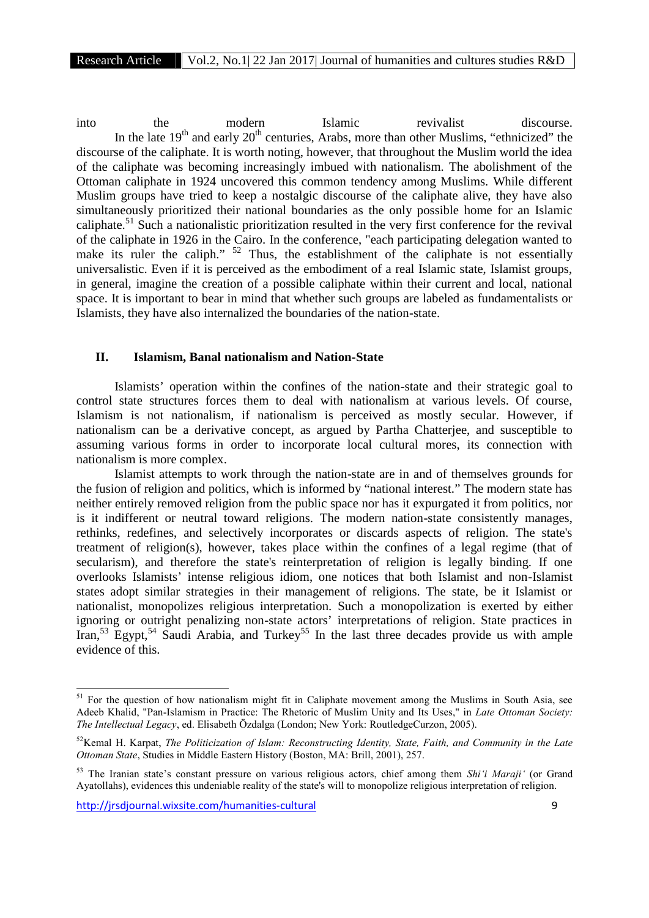into the modern Islamic revivalist discourse. In the late  $19<sup>th</sup>$  and early  $20<sup>th</sup>$  centuries, Arabs, more than other Muslims, "ethnicized" the discourse of the caliphate. It is worth noting, however, that throughout the Muslim world the idea of the caliphate was becoming increasingly imbued with nationalism. The abolishment of the Ottoman caliphate in 1924 uncovered this common tendency among Muslims. While different Muslim groups have tried to keep a nostalgic discourse of the caliphate alive, they have also simultaneously prioritized their national boundaries as the only possible home for an Islamic caliphate.<sup>51</sup> Such a nationalistic prioritization resulted in the very first conference for the revival of the caliphate in 1926 in the Cairo. In the conference, "each participating delegation wanted to make its ruler the caliph." <sup>52</sup> Thus, the establishment of the caliphate is not essentially universalistic. Even if it is perceived as the embodiment of a real Islamic state, Islamist groups, in general, imagine the creation of a possible caliphate within their current and local, national space. It is important to bear in mind that whether such groups are labeled as fundamentalists or Islamists, they have also internalized the boundaries of the nation-state.

#### **II. Islamism, Banal nationalism and Nation-State**

Islamists' operation within the confines of the nation-state and their strategic goal to control state structures forces them to deal with nationalism at various levels. Of course, Islamism is not nationalism, if nationalism is perceived as mostly secular. However, if nationalism can be a derivative concept, as argued by Partha Chatterjee, and susceptible to assuming various forms in order to incorporate local cultural mores, its connection with nationalism is more complex.

Islamist attempts to work through the nation-state are in and of themselves grounds for the fusion of religion and politics, which is informed by "national interest." The modern state has neither entirely removed religion from the public space nor has it expurgated it from politics, nor is it indifferent or neutral toward religions. The modern nation-state consistently manages, rethinks, redefines, and selectively incorporates or discards aspects of religion. The state's treatment of religion(s), however, takes place within the confines of a legal regime (that of secularism), and therefore the state's reinterpretation of religion is legally binding. If one overlooks Islamists' intense religious idiom, one notices that both Islamist and non-Islamist states adopt similar strategies in their management of religions. The state, be it Islamist or nationalist, monopolizes religious interpretation. Such a monopolization is exerted by either ignoring or outright penalizing non-state actors' interpretations of religion. State practices in Iran,<sup>53</sup> Egypt,<sup>54</sup> Saudi Arabia, and Turkey<sup>55</sup> In the last three decades provide us with ample evidence of this.

http://jrsdjournal.wixsite.com/humanities-cultural 9

<sup>&</sup>lt;sup>51</sup> For the question of how nationalism might fit in Caliphate movement among the Muslims in South Asia, see Adeeb Khalid, "Pan-Islamism in Practice: The Rhetoric of Muslim Unity and Its Uses," in *Late Ottoman Society: The Intellectual Legacy*, ed. Elisabeth Özdalga (London; New York: RoutledgeCurzon, 2005).

<sup>52</sup>Kemal H. Karpat, *The Politicization of Islam: Reconstructing Identity, State, Faith, and Community in the Late Ottoman State*, Studies in Middle Eastern History (Boston, MA: Brill, 2001), 257.

<sup>53</sup> The Iranian state's constant pressure on various religious actors, chief among them *Shi'i Maraji'* (or Grand Ayatollahs), evidences this undeniable reality of the state's will to monopolize religious interpretation of religion.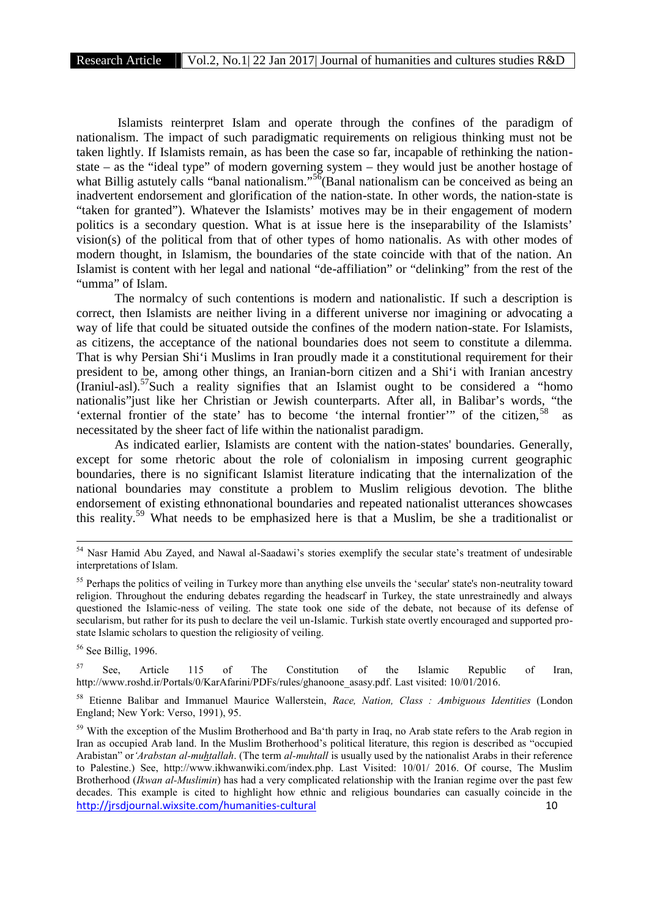Islamists reinterpret Islam and operate through the confines of the paradigm of nationalism. The impact of such paradigmatic requirements on religious thinking must not be taken lightly. If Islamists remain, as has been the case so far, incapable of rethinking the nation state – as the "ideal type" of modern governing system – they would just be another hostage of what Billig astutely calls "banal nationalism."<sup>56</sup>(Banal nationalism can be conceived as being an inadvertent endorsement and glorification of the nation-state. In other words, the nation-state is "taken for granted"). Whatever the Islamists' motives may be in their engagement of modern politics is a secondary question. What is at issue here is the inseparability of the Islamists' vision(s) of the political from that of other types of homo nationalis. As with other modes of modern thought, in Islamism, the boundaries of the state coincide with that of the nation. An Islamist is content with her legal and national "de-affiliation" or "delinking" from the rest of the "umma" of Islam.

The normalcy of such contentions is modern and nationalistic. If such a description is correct, then Islamists are neither living in a different universe nor imagining or advocating a way of life that could be situated outside the confines of the modern nation-state. For Islamists, as citizens, the acceptance of the national boundaries does not seem to constitute a dilemma. That is why Persian Shi'i Muslims in Iran proudly made it a constitutional requirement for their president to be, among other things, an Iranian-born citizen and a Shi'i with Iranian ancestry (Iraniul-asl).<sup>57</sup>Such a reality signifies that an Islamist ought to be considered a "homo nationalis"just like her Christian or Jewish counterparts. After all, in Balibar's words, "the 'external frontier of the state' has to become 'the internal frontier'" of the citizen,  $58$  as necessitated by the sheer fact of life within the nationalist paradigm.

As indicated earlier, Islamists are content with the nation-states' boundaries. Generally, except for some rhetoric about the role of colonialism in imposing current geographic boundaries, there is no significant Islamist literature indicating that the internalization of the national boundaries may constitute a problem to Muslim religious devotion. The blithe endorsement of existing ethnonational boundaries and repeated nationalist utterances showcases this reality.<sup>59</sup> What needs to be emphasized here is that a Muslim, be she a traditionalist or

<sup>56</sup> See Billig, 1996.

<sup>57</sup> See, Article 115 of The Constitution of the Islamic Republic of Iran, http://www.roshd.ir/Portals/0/KarAfarini/PDFs/rules/ghanoone\_asasy.pdf. Last visited: 10/01/2016.

<sup>58</sup> Etienne Balibar and Immanuel Maurice Wallerstein, *Race, Nation, Class : Ambiguous Identities* (London England; New York: Verso, 1991), 95.

http://jrsdjournal.wixsite.com/humanities-cultural 10 <sup>59</sup> With the exception of the Muslim Brotherhood and Ba'th party in Iraq, no Arab state refers to the Arab region in Iran as occupied Arab land. In the Muslim Brotherhood's political literature, this region is described as "occupied Arabistan" or*'Arabstan al-muhtallah*. (The term *al-muhtall* is usually used by the nationalist Arabs in their reference to Palestine.) See, http://www.ikhwanwiki.com/index.php. Last Visited: 10/01/ 2016. Of course, The Muslim Brotherhood (*Ikwan al-Muslimin*) has had a very complicated relationship with the Iranian regime over the past few decades. This example is cited to highlight how ethnic and religious boundaries can casually coincide in the

<sup>54</sup> Nasr Hamid Abu Zayed, and Nawal al-Saadawi's stories exemplify the secular state's treatment of undesirable interpretations of Islam.

<sup>&</sup>lt;sup>55</sup> Perhaps the politics of veiling in Turkey more than anything else unveils the 'secular' state's non-neutrality toward religion. Throughout the enduring debates regarding the headscarf in Turkey, the state unrestrainedly and always questioned the Islamic-ness of veiling. The state took one side of the debate, not because of its defense of secularism, but rather for its push to declare the veil un-Islamic. Turkish state overtly encouraged and supported pro state Islamic scholars to question the religiosity of veiling.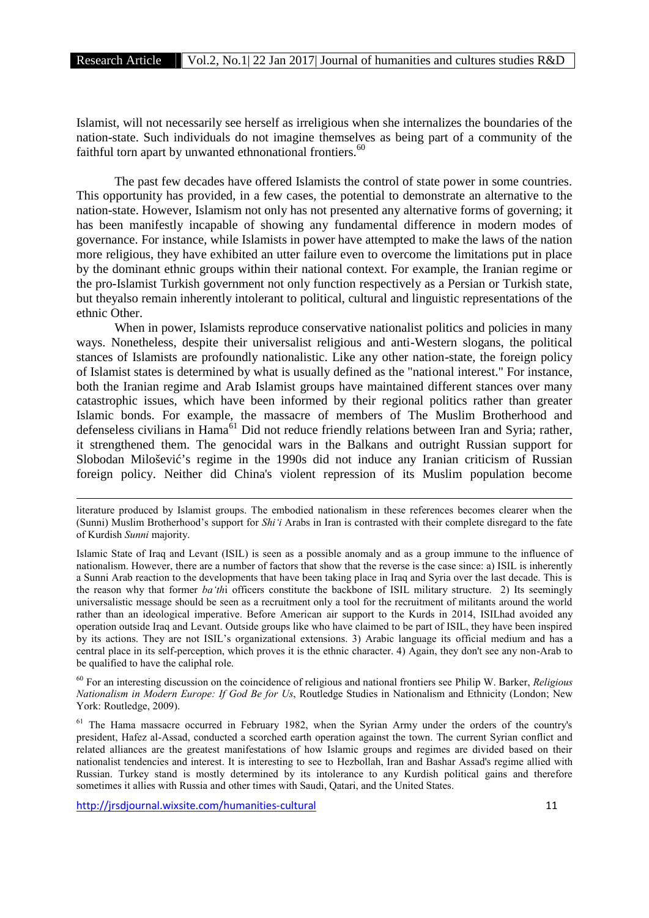Islamist, will not necessarily see herself as irreligious when she internalizes the boundaries of the nation-state. Such individuals do not imagine themselves as being part of a community of the faithful torn apart by unwanted ethnonational frontiers.<sup>60</sup>

The past few decades have offered Islamists the control of state power in some countries. This opportunity has provided, in a few cases, the potential to demonstrate an alternative to the nation-state. However, Islamism not only has not presented any alternative forms of governing; it has been manifestly incapable of showing any fundamental difference in modern modes of governance. For instance, while Islamists in power have attempted to make the laws of the nation more religious, they have exhibited an utter failure even to overcome the limitations put in place by the dominant ethnic groups within their national context. For example, the Iranian regime or the pro-Islamist Turkish government not only function respectively as a Persian or Turkish state, but theyalso remain inherently intolerant to political, cultural and linguistic representations of the ethnic Other.

When in power, Islamists reproduce conservative nationalist politics and policies in many ways. Nonetheless, despite their universalist religious and anti-Western slogans, the political stances of Islamists are profoundly nationalistic. Like any other nation-state, the foreign policy of Islamist states is determined by what is usually defined as the "national interest." For instance, both the Iranian regime and Arab Islamist groups have maintained different stances over many catastrophic issues, which have been informed by their regional politics rather than greater Islamic bonds. For example, the massacre of members of The Muslim Brotherhood and defenseless civilians in Hama<sup>61</sup> Did not reduce friendly relations between Iran and Syria; rather, it strengthened them. The genocidal wars in the Balkans and outright Russian support for Slobodan Miloševi 's regime in the 1990s did not induce any Iranian criticism of Russian foreign policy. Neither did China's violent repression of its Muslim population become

<sup>60</sup> For an interesting discussion on the coincidence of religious and national frontiers see Philip W. Barker, *Religious Nationalism in Modern Europe: If God Be for Us*, Routledge Studies in Nationalism and Ethnicity (London; New York: Routledge, 2009).

<sup>61</sup> The Hama massacre occurred in February 1982, when the Syrian Army under the orders of the country's president, Hafez al-Assad, conducted a scorched earth operation against the town. The current Syrian conflict and related alliances are the greatest manifestations of how Islamic groups and regimes are divided based on their nationalist tendencies and interest. It is interesting to see to Hezbollah, Iran and Bashar Assad's regime allied with Russian. Turkey stand is mostly determined by its intolerance to any Kurdish political gains and therefore sometimes it allies with Russia and other times with Saudi, Qatari, and the United States.

http://jrsdjournal.wixsite.com/humanities-cultural 11 11

literature produced by Islamist groups. The embodied nationalism in these references becomes clearer when the (Sunni) Muslim Brotherhood's support for *Shi'i* Arabs in Iran is contrasted with their complete disregard to the fate of Kurdish *Sunni* majority.

Islamic State of Iraq and Levant (ISIL) is seen as a possible anomaly and as a group immune to the influence of nationalism. However, there are a number of factors that show that the reverse is the case since: a) ISIL is inherently a Sunni Arab reaction to the developments that have been taking place in Iraq and Syria over the last decade. This is the reason why that former *ba'th*i officers constitute the backbone of ISIL military structure. 2) Its seemingly universalistic message should be seen as a recruitment only a tool for the recruitment of militants around the world rather than an ideological imperative. Before American air support to the Kurds in 2014, ISILhad avoided any operation outside Iraq and Levant. Outside groups like who have claimed to be part of ISIL, they have been inspired by its actions. They are not ISIL's organizational extensions. 3) Arabic language its official medium and has a central place in its self-perception, which proves it is the ethnic character. 4) Again, they don't see any non-Arab to be qualified to have the caliphal role.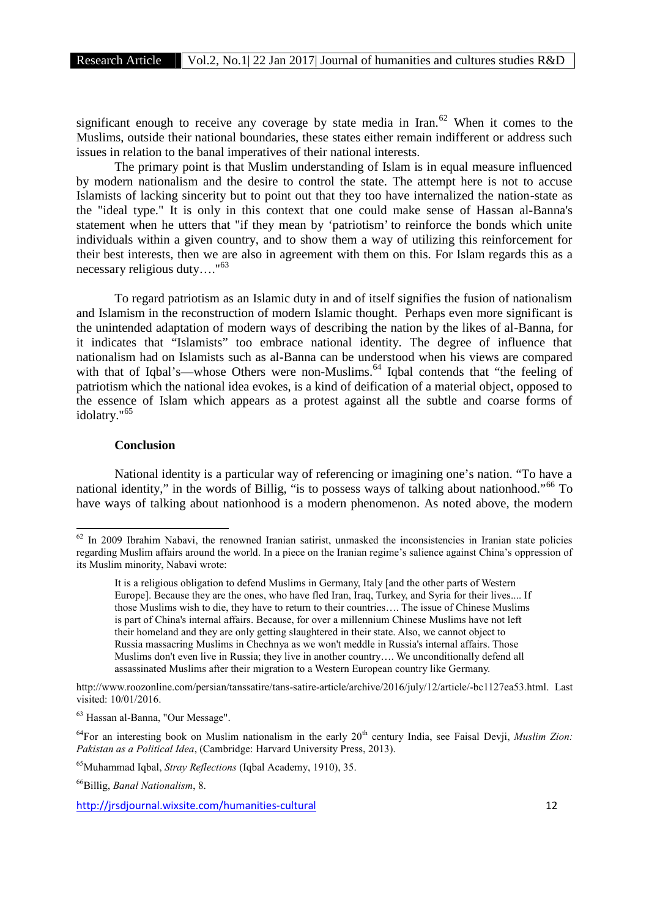significant enough to receive any coverage by state media in Iran.<sup>62</sup> When it comes to the Muslims, outside their national boundaries, these states either remain indifferent or address such issues in relation to the banal imperatives of their national interests.

The primary point is that Muslim understanding of Islam is in equal measure influenced by modern nationalism and the desire to control the state. The attempt here is not to accuse Islamists of lacking sincerity but to point out that they too have internalized the nation-state as the "ideal type." It is only in this context that one could make sense of Hassan al-Banna's statement when he utters that "if they mean by 'patriotism' to reinforce the bonds which unite individuals within a given country, and to show them a way of utilizing this reinforcement for their best interests, then we are also in agreement with them on this. For Islam regards this as a necessary religious duty…."<sup>63</sup>

To regard patriotism as an Islamic duty in and of itself signifies the fusion of nationalism and Islamism in the reconstruction of modern Islamic thought. Perhaps even more significant is the unintended adaptation of modern ways of describing the nation by the likes of al-Banna, for it indicates that "Islamists" too embrace national identity. The degree of influence that nationalism had on Islamists such as al-Banna can be understood when his views are compared with that of Iqbal's—whose Others were non-Muslims.<sup>64</sup> Iqbal contends that "the feeling of patriotism which the national idea evokes, is a kind of deification of a material object, opposed to the essence of Islam which appears as a protest against all the subtle and coarse forms of idolatry."<sup>65</sup>

#### **Conclusion**

National identity is a particular way of referencing or imagining one's nation. "To have a national identity," in the words of Billig, "is to possess ways of talking about nationhood."<sup>66</sup> To have ways of talking about nationhood is a modern phenomenon. As noted above, the modern

 $62$  In 2009 Ibrahim Nabavi, the renowned Iranian satirist, unmasked the inconsistencies in Iranian state policies regarding Muslim affairs around the world. In a piece on the Iranian regime's salience against China's oppression of its Muslim minority, Nabavi wrote:

It is a religious obligation to defend Muslims in Germany, Italy [and the other parts of Western Europe]. Because they are the ones, who have fled Iran, Iraq, Turkey, and Syria for their lives.... If those Muslims wish to die, they have to return to their countries…. The issue of Chinese Muslims is part of China's internal affairs. Because, for over a millennium Chinese Muslims have not left their homeland and they are only getting slaughtered in their state. Also, we cannot object to Russia massacring Muslims in Chechnya as we won't meddle in Russia's internal affairs. Those Muslims don't even live in Russia; they live in another country…. We unconditionally defend all assassinated Muslims after their migration to a Western European country like Germany.

http://www.roozonline.com/persian/tanssatire/tans-satire-article/archive/2016/july/12/article/-bc1127ea53.html. Last visited: 10/01/2016.

<sup>63</sup> Hassan al-Banna, "Our Message".

<sup>&</sup>lt;sup>64</sup>For an interesting book on Muslim nationalism in the early 20<sup>th</sup> century India, see Faisal Devji, *Muslim Zion*: *Pakistan as a Political Idea*, (Cambridge: Harvard University Press, 2013).

<sup>65</sup>Muhammad Iqbal, *Stray Reflections* (Iqbal Academy, 1910), 35.

<sup>66</sup>Billig, *Banal Nationalism*, 8.

http://jrsdjournal.wixsite.com/humanities-cultural 12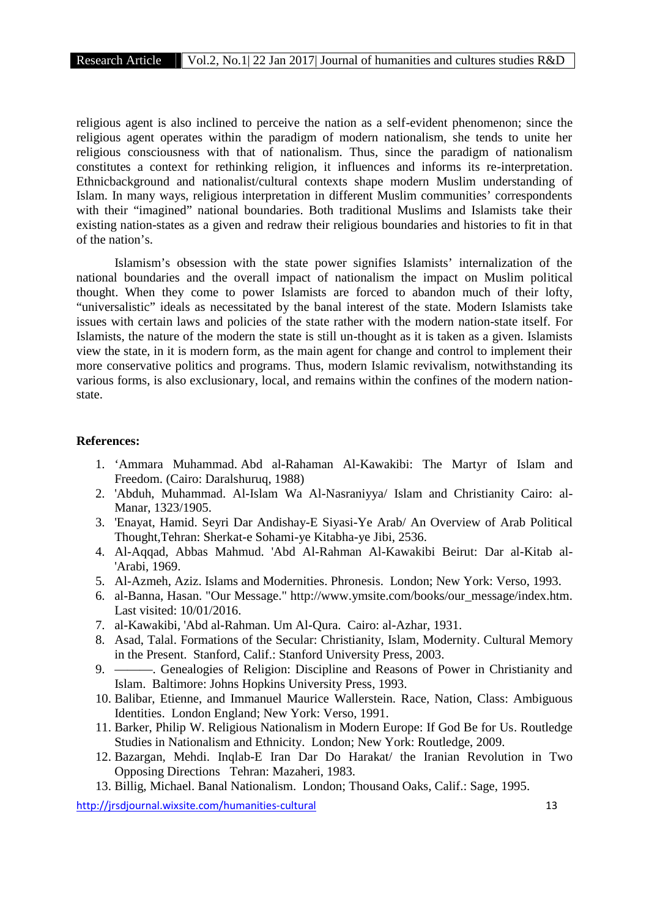religious agent is also inclined to perceive the nation as a self-evident phenomenon; since the religious agent operates within the paradigm of modern nationalism, she tends to unite her religious consciousness with that of nationalism. Thus, since the paradigm of nationalism constitutes a context for rethinking religion, it influences and informs its re-interpretation. Ethnicbackground and nationalist/cultural contexts shape modern Muslim understanding of Islam. In many ways, religious interpretation in different Muslim communities' correspondents with their "imagined" national boundaries. Both traditional Muslims and Islamists take their existing nation-states as a given and redraw their religious boundaries and histories to fit in that of the nation's.

Islamism's obsession with the state power signifies Islamists' internalization of the national boundaries and the overall impact of nationalism the impact on Muslim political thought. When they come to power Islamists are forced to abandon much of their lofty, "universalistic" ideals as necessitated by the banal interest of the state. Modern Islamists take issues with certain laws and policies of the state rather with the modern nation-state itself. For Islamists, the nature of the modern the state is still un-thought as it is taken as a given. Islamists view the state, in it is modern form, as the main agent for change and control to implement their more conservative politics and programs. Thus, modern Islamic revivalism, notwithstanding its various forms, is also exclusionary, local, and remains within the confines of the modern nation state.

#### **References:**

- 1. 'Ammara Muhammad. Abd al-Rahaman Al-Kawakibi: The Martyr of Islam and Freedom. (Cairo: Daralshuruq, 1988)
- 2. 'Abduh, Muhammad. Al-Islam Wa Al-Nasraniyya/ Islam and Christianity Cairo: al- Manar, 1323/1905.
- 3. 'Enayat, Hamid. Seyri Dar Andishay-E Siyasi-Ye Arab/ An Overview of Arab Political Thought,Tehran: Sherkat-e Sohami-ye Kitabha-ye Jibi, 2536.
- 4. Al-Aqqad, Abbas Mahmud. 'Abd Al-Rahman Al-Kawakibi Beirut: Dar al-Kitab al- 'Arabi, 1969.
- 5. Al-Azmeh, Aziz. Islams and Modernities. Phronesis. London; New York: Verso, 1993.
- 6. al-Banna, Hasan. "Our Message." http://www.ymsite.com/books/our\_message/index.htm. Last visited: 10/01/2016.
- 7. al-Kawakibi, 'Abd al-Rahman. Um Al-Qura. Cairo: al-Azhar, 1931.
- 8. Asad, Talal. Formations of the Secular: Christianity, Islam, Modernity. Cultural Memory in the Present. Stanford, Calif.: Stanford University Press, 2003.
- 9. ———. Genealogies of Religion: Discipline and Reasons of Power in Christianity and Islam. Baltimore: Johns Hopkins University Press, 1993.
- 10. Balibar, Etienne, and Immanuel Maurice Wallerstein. Race, Nation, Class: Ambiguous Identities. London England; New York: Verso, 1991.
- 11. Barker, Philip W. Religious Nationalism in Modern Europe: If God Be for Us. Routledge Studies in Nationalism and Ethnicity. London; New York: Routledge, 2009.
- 12. Bazargan, Mehdi. Inqlab-E Iran Dar Do Harakat/ the Iranian Revolution in Two Opposing Directions Tehran: Mazaheri, 1983.
- 13. Billig, Michael. Banal Nationalism. London; Thousand Oaks, Calif.: Sage, 1995.

http://irsdiournal.wixsite.com/humanities-cultural 13